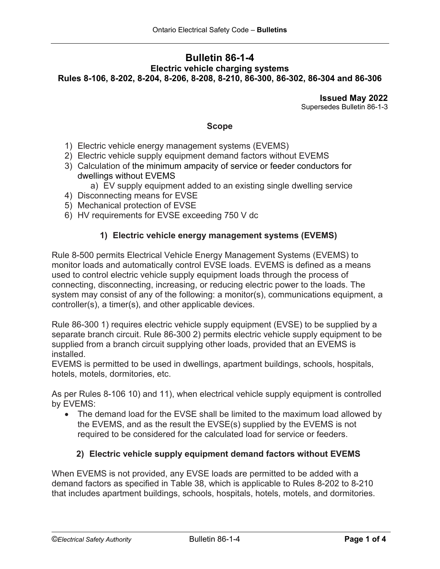# **Bulletin 86-1-4 Electric vehicle charging systems Rules 8-106, 8-202, 8-204, 8-206, 8-208, 8-210, 86-300, 86-302, 86-304 and 86-306**

**Issued May 2022** Supersedes Bulletin 86-1-3

## **Scope**

- 1) Electric vehicle energy management systems (EVEMS)
- 2) Electric vehicle supply equipment demand factors without EVEMS
- 3) Calculation of the minimum ampacity of service or feeder conductors for dwellings without EVEMS
	- a) EV supply equipment added to an existing single dwelling service
- 4) Disconnecting means for EVSE
- 5) Mechanical protection of EVSE
- 6) HV requirements for EVSE exceeding 750 V dc

## **1) Electric vehicle energy management systems (EVEMS)**

Rule 8-500 permits Electrical Vehicle Energy Management Systems (EVEMS) to monitor loads and automatically control EVSE loads. EVEMS is defined as a means used to control electric vehicle supply equipment loads through the process of connecting, disconnecting, increasing, or reducing electric power to the loads. The system may consist of any of the following: a monitor(s), communications equipment, a controller(s), a timer(s), and other applicable devices.

Rule 86-300 1) requires electric vehicle supply equipment (EVSE) to be supplied by a separate branch circuit. Rule 86-300 2) permits electric vehicle supply equipment to be supplied from a branch circuit supplying other loads, provided that an EVEMS is installed.

EVEMS is permitted to be used in dwellings, apartment buildings, schools, hospitals, hotels, motels, dormitories, etc.

As per Rules 8-106 10) and 11), when electrical vehicle supply equipment is controlled by EVEMS:

• The demand load for the EVSE shall be limited to the maximum load allowed by the EVEMS, and as the result the EVSE(s) supplied by the EVEMS is not required to be considered for the calculated load for service or feeders.

### **2) Electric vehicle supply equipment demand factors without EVEMS**

When EVEMS is not provided, any EVSE loads are permitted to be added with a demand factors as specified in Table 38, which is applicable to Rules 8-202 to 8-210 that includes apartment buildings, schools, hospitals, hotels, motels, and dormitories.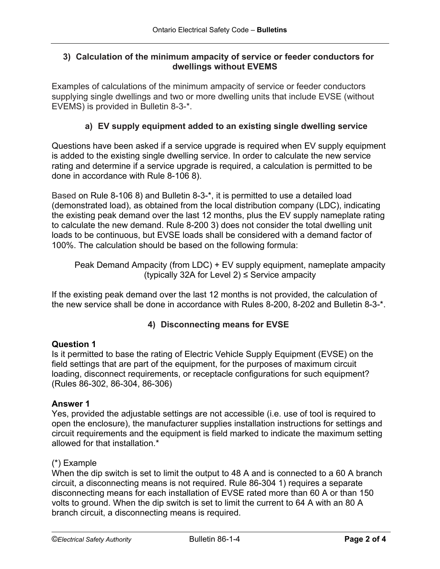## **3) Calculation of the minimum ampacity of service or feeder conductors for dwellings without EVEMS**

Examples of calculations of the minimum ampacity of service or feeder conductors supplying single dwellings and two or more dwelling units that include EVSE (without EVEMS) is provided in Bulletin 8-3-\*.

# **a) EV supply equipment added to an existing single dwelling service**

Questions have been asked if a service upgrade is required when EV supply equipment is added to the existing single dwelling service. In order to calculate the new service rating and determine if a service upgrade is required, a calculation is permitted to be done in accordance with Rule 8-106 8).

Based on Rule 8-106 8) and Bulletin 8-3-\*, it is permitted to use a detailed load (demonstrated load), as obtained from the local distribution company (LDC), indicating the existing peak demand over the last 12 months, plus the EV supply nameplate rating to calculate the new demand. Rule 8-200 3) does not consider the total dwelling unit loads to be continuous, but EVSE loads shall be considered with a demand factor of 100%. The calculation should be based on the following formula:

Peak Demand Ampacity (from LDC) + EV supply equipment, nameplate ampacity (typically 32A for Level 2)  $\leq$  Service ampacity

If the existing peak demand over the last 12 months is not provided, the calculation of the new service shall be done in accordance with Rules 8-200, 8-202 and Bulletin 8-3-\*.

# **4) Disconnecting means for EVSE**

## **Question 1**

Is it permitted to base the rating of Electric Vehicle Supply Equipment (EVSE) on the field settings that are part of the equipment, for the purposes of maximum circuit loading, disconnect requirements, or receptacle configurations for such equipment? (Rules 86-302, 86-304, 86-306)

### **Answer 1**

Yes, provided the adjustable settings are not accessible (i.e. use of tool is required to open the enclosure), the manufacturer supplies installation instructions for settings and circuit requirements and the equipment is field marked to indicate the maximum setting allowed for that installation.\*

## (\*) Example

When the dip switch is set to limit the output to 48 A and is connected to a 60 A branch circuit, a disconnecting means is not required. Rule 86-304 1) requires a separate disconnecting means for each installation of EVSE rated more than 60 A or than 150 volts to ground. When the dip switch is set to limit the current to 64 A with an 80 A branch circuit, a disconnecting means is required.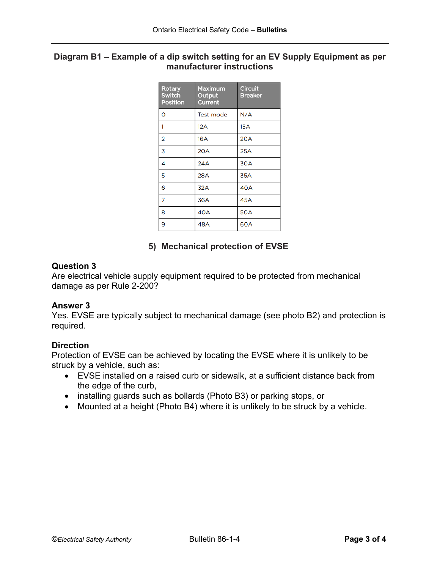## **Diagram B1 – Example of a dip switch setting for an EV Supply Equipment as per manufacturer instructions**

| Rotary<br><b>Switch</b><br><b>Position</b> | Maximum<br>Output<br>Current | Circuit<br><b>Breaker</b> |
|--------------------------------------------|------------------------------|---------------------------|
| 0                                          | <b>Test mode</b>             | N/A                       |
| 1                                          | 12A                          | <b>15A</b>                |
| $\overline{2}$                             | 16A                          | 20A                       |
| $\overline{3}$                             | <b>20A</b>                   | <b>25A</b>                |
| 4                                          | 24A                          | <b>30A</b>                |
| 5                                          | 28A                          | 35A                       |
| 6                                          | 32A                          | 40A                       |
| 7                                          | 36A                          | 45A                       |
| 8                                          | 40A                          | <b>50A</b>                |
| 9                                          | 48A                          | 60A                       |

## **5) Mechanical protection of EVSE**

# **Question 3**

Are electrical vehicle supply equipment required to be protected from mechanical damage as per Rule 2-200?

### **Answer 3**

Yes. EVSE are typically subject to mechanical damage (see photo B2) and protection is required.

### **Direction**

Protection of EVSE can be achieved by locating the EVSE where it is unlikely to be struck by a vehicle, such as:

- EVSE installed on a raised curb or sidewalk, at a sufficient distance back from the edge of the curb,
- installing guards such as bollards (Photo B3) or parking stops, or
- Mounted at a height (Photo B4) where it is unlikely to be struck by a vehicle.